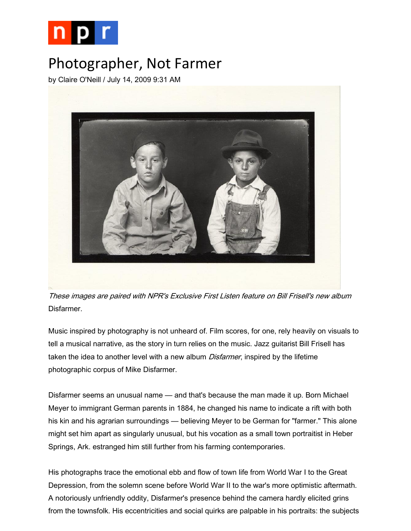

## Photographer, Not Farmer

by Claire O'Neill / July 14, 2009 9:31 AM



These images are paired with NPR's Exclusive First Listen feature on Bill Frisell's new album Disfarmer.

Music inspired by photography is not unheard of. Film scores, for one, rely heavily on visuals to tell a musical narrative, as the story in turn relies on the music. Jazz guitarist Bill Frisell has taken the idea to another level with a new album *Disfarmer*, inspired by the lifetime photographic corpus of Mike Disfarmer.

Disfarmer seems an unusual name — and that's because the man made it up. Born Michael Meyer to immigrant German parents in 1884, he changed his name to indicate a rift with both his kin and his agrarian surroundings — believing Meyer to be German for "farmer." This alone might set him apart as singularly unusual, but his vocation as a small town portraitist in Heber Springs, Ark. estranged him still further from his farming contemporaries.

His photographs trace the emotional ebb and flow of town life from World War I to the Great Depression, from the solemn scene before World War II to the war's more optimistic aftermath. A notoriously unfriendly oddity, Disfarmer's presence behind the camera hardly elicited grins from the townsfolk. His eccentricities and social quirks are palpable in his portraits: the subjects